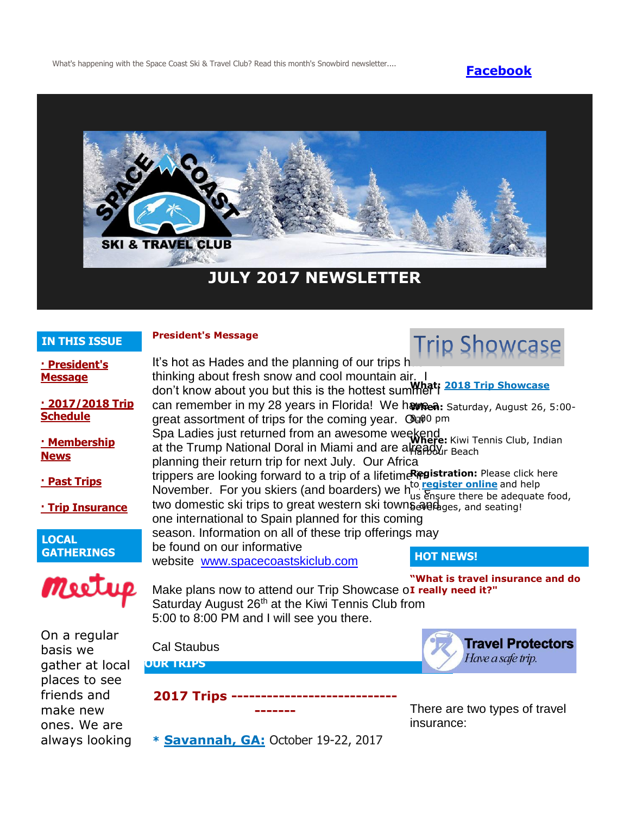What's happening with the Space Coast Ski & Travel Club? Read this month's Snowbird newsletter.... **[Facebook](https://www.facebook.com/pages/Space-Coast-Ski-Club/137991863341)** 



# **JULY 2017 NEWSLETTER**

# **IN THIS ISSUE**

# **President's Message**

| <b>IN THIS ISSUE</b>                   | <b>President's Message</b>                                                                                                                                                                                                                                                                                                                                                                                                                                                                                                                                                                                                                                                                                                                                                                                                                                       |                                               |
|----------------------------------------|------------------------------------------------------------------------------------------------------------------------------------------------------------------------------------------------------------------------------------------------------------------------------------------------------------------------------------------------------------------------------------------------------------------------------------------------------------------------------------------------------------------------------------------------------------------------------------------------------------------------------------------------------------------------------------------------------------------------------------------------------------------------------------------------------------------------------------------------------------------|-----------------------------------------------|
| <u>- President's</u><br><b>Message</b> | It's hot as Hades and the planning of our trips h<br>thinking about fresh snow and cool mountain air<br>don't know about you but this is the hottest summer i 2018 Trip Showcase<br>can remember in my 28 years in Florida! We havea: Saturday, August 26, 5:00-<br>great assortment of trips for the coming year. Gu00 pm<br>Spa Ladies just returned from an awesome weekend<br>Spa Ladies just returned from an awesome weekend<br>at the Trump National Doral in Miami and are already Beach<br>planning their return trip for next July. Our Africa<br>trippers are looking forward to a trip of a lifetime Registration: Please click here<br>November. For you skiers (and boarders) we have been there be adequate food,<br>two domestic ski trips to great western ski towns and get and seating!<br>one international to Spain planned for this coming |                                               |
| • 2017/2018 Trip<br><b>Schedule</b>    |                                                                                                                                                                                                                                                                                                                                                                                                                                                                                                                                                                                                                                                                                                                                                                                                                                                                  |                                               |
| <u> · Membership</u><br><b>News</b>    |                                                                                                                                                                                                                                                                                                                                                                                                                                                                                                                                                                                                                                                                                                                                                                                                                                                                  |                                               |
| · Past Trips                           |                                                                                                                                                                                                                                                                                                                                                                                                                                                                                                                                                                                                                                                                                                                                                                                                                                                                  |                                               |
| <b>Trip Insurance</b>                  |                                                                                                                                                                                                                                                                                                                                                                                                                                                                                                                                                                                                                                                                                                                                                                                                                                                                  |                                               |
| <b>LOCAL</b>                           | season. Information on all of these trip offerings may<br>be found on our informative                                                                                                                                                                                                                                                                                                                                                                                                                                                                                                                                                                                                                                                                                                                                                                            |                                               |
| <b>GATHERINGS</b>                      | website www.spacecoastskiclub.com                                                                                                                                                                                                                                                                                                                                                                                                                                                                                                                                                                                                                                                                                                                                                                                                                                | <b>HOT NEWS!</b>                              |
| Meet                                   | 'What is travel insurance and do<br>Make plans now to attend our Trip Showcase oI really need it?"<br>Saturday August 26 <sup>th</sup> at the Kiwi Tennis Club from<br>5:00 to 8:00 PM and I will see you there.                                                                                                                                                                                                                                                                                                                                                                                                                                                                                                                                                                                                                                                 |                                               |
| On a regular<br>basis we               | <b>Cal Staubus</b>                                                                                                                                                                                                                                                                                                                                                                                                                                                                                                                                                                                                                                                                                                                                                                                                                                               | <b>Travel Protectors</b><br>Have a safe trip. |
| gather at local                        | <b>OUR TRIPS</b>                                                                                                                                                                                                                                                                                                                                                                                                                                                                                                                                                                                                                                                                                                                                                                                                                                                 |                                               |

There are two types of travel insurance:

places to see friends and make new ones. We are always looking

**\* [Savannah, GA:](http://spacecoastskiclub.com/event-2552665)** October 19-22, 2017

**2017 Trips ---------------------------- -------**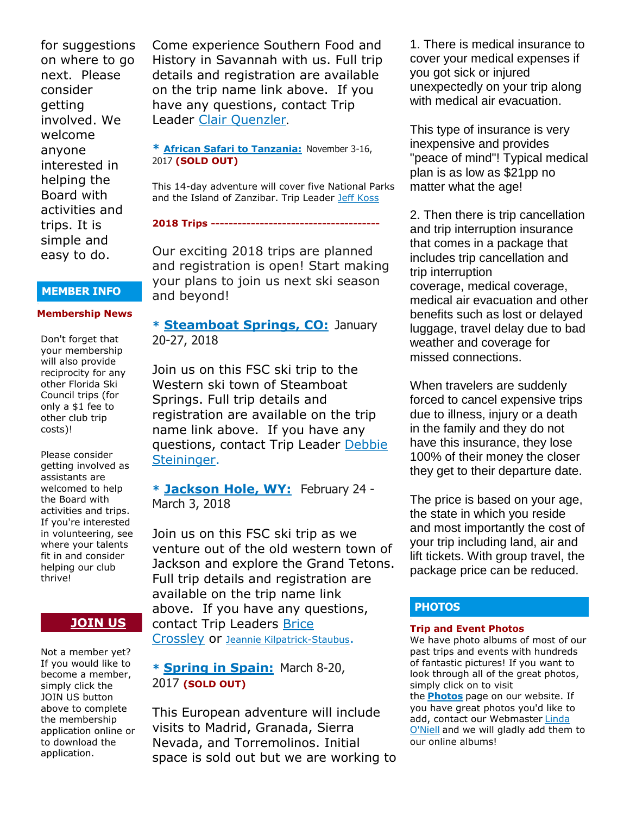for suggestions on where to go next. Please consider getting involved. We welcome anyone interested in helping the Board with activities and trips. It is simple and easy to do.

#### **MEMBER INFO**

#### **Membership News**

Don't forget that your membership will also provide reciprocity for any other Florida Ski Council trips (for only a \$1 fee to other club trip costs)!

Please consider getting involved as assistants are welcomed to help the Board with activities and trips. If you're interested in volunteering, see where your talents fit in and consider helping our club thrive!

## **[JOIN US](http://spacecoastskiclub.com/Join)**

Not a member yet? If you would like to become a member, simply click the JOIN US button above to complete the membership application online or to download the application.

Come experience Southern Food and History in Savannah with us. Full trip details and registration are available on the trip name link above. If you have any questions, contact Trip Leader [Clair Quenzler](mailto:clairqski@aol.com).

#### **\* [African Safari to Tanzania:](http://spacecoastskiclub.com/event-2313660)** November 3-16, 2017 **(SOLD OUT)**

This 14-day adventure will cover five National Parks and the Island of Zanzibar. Trip Leader [Jeff Koss](mailto:kaoshome@earthlink.net)

**2018 Trips --------------------------------------**

Our exciting 2018 trips are planned and registration is open! Start making your plans to join us next ski season and beyond!

# **\* [Steamboat Springs, CO:](http://spacecoastskiclub.com/event-2594526)** January 20-27, 2018

Join us on this FSC ski trip to the Western ski town of Steamboat Springs. Full trip details and registration are available on the trip name link above. If you have any questions, contact Trip Leader Debbie [Steininger.](mailto:dsteininger@cfl.rr.com)

**\* [Jackson Hole, WY:](http://spacecoastskiclub.com/event-2579402)** February 24 - March 3, 2018

Join us on this FSC ski trip as we venture out of the old western town of Jackson and explore the Grand Tetons. Full trip details and registration are available on the trip name link above. If you have any questions, contact Trip Leaders [Brice](mailto:Brice@spacecoastskiclub.com)  [Crossley](mailto:Brice@spacecoastskiclub.com) or [Jeannie Kilpatrick-Staubus](mailto:Jeannie@spacecoastskiclub.com).

**\* [Spring in Spain:](http://spacecoastskiclub.com/event-2577968)** March 8-20, 2017 **(SOLD OUT)**

This European adventure will include visits to Madrid, Granada, Sierra Nevada, and Torremolinos. Initial space is sold out but we are working to

1. There is medical insurance to cover your medical expenses if you got sick or injured unexpectedly on your trip along with medical air evacuation.

This type of insurance is very inexpensive and provides "peace of mind"! Typical medical plan is as low as \$21pp no matter what the age!

2. Then there is trip cancellation and trip interruption insurance that comes in a package that includes trip cancellation and trip interruption coverage, medical coverage, medical air evacuation and other benefits such as lost or delayed luggage, travel delay due to bad weather and coverage for missed connections.

When travelers are suddenly forced to cancel expensive trips due to illness, injury or a death in the family and they do not have this insurance, they lose 100% of their money the closer they get to their departure date.

The price is based on your age, the state in which you reside and most importantly the cost of your trip including land, air and lift tickets. With group travel, the package price can be reduced.

# **PHOTOS**

#### **Trip and Event Photos**

We have photo albums of most of our past trips and events with hundreds of fantastic pictures! If you want to look through all of the great photos, simply click on to visit

the **[Photos](http://spacecoastskiclub.com/Default.aspx?pageId=1628252)** page on our website. If you have great photos you'd like to add, contact our Webmaster Linda [O'Niell](mailto:lrod2127@gmail.com) and we will gladly add them to our online albums!